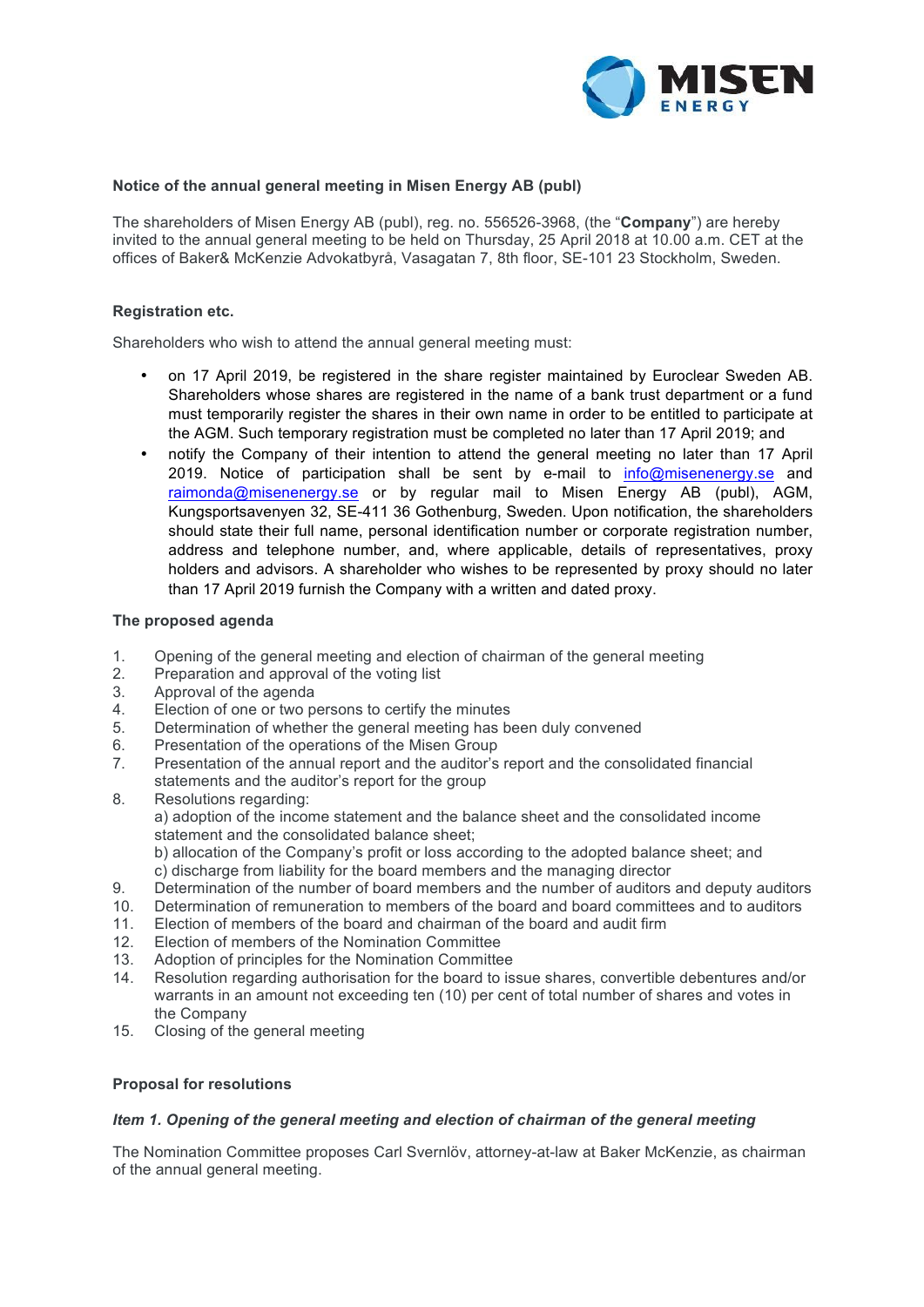

## **Notice of the annual general meeting in Misen Energy AB (publ)**

The shareholders of Misen Energy AB (publ), reg. no. 556526-3968, (the "**Company**") are hereby invited to the annual general meeting to be held on Thursday, 25 April 2018 at 10.00 a.m. CET at the offices of Baker& McKenzie Advokatbyrå, Vasagatan 7, 8th floor, SE-101 23 Stockholm, Sweden.

### **Registration etc.**

Shareholders who wish to attend the annual general meeting must:

- on 17 April 2019, be registered in the share register maintained by Euroclear Sweden AB. Shareholders whose shares are registered in the name of a bank trust department or a fund must temporarily register the shares in their own name in order to be entitled to participate at the AGM. Such temporary registration must be completed no later than 17 April 2019; and
- notify the Company of their intention to attend the general meeting no later than 17 April 2019. Notice of participation shall be sent by e-mail to info@misenenergy.se and raimonda@misenenergy.se or by regular mail to Misen Energy AB (publ), AGM, Kungsportsavenyen 32, SE-411 36 Gothenburg, Sweden. Upon notification, the shareholders should state their full name, personal identification number or corporate registration number, address and telephone number, and, where applicable, details of representatives, proxy holders and advisors. A shareholder who wishes to be represented by proxy should no later than 17 April 2019 furnish the Company with a written and dated proxy.

#### **The proposed agenda**

- 1. Opening of the general meeting and election of chairman of the general meeting
- 2. Preparation and approval of the voting list
- 3. Approval of the agenda
- 4. Election of one or two persons to certify the minutes
- 5. Determination of whether the general meeting has been duly convened
- 6. Presentation of the operations of the Misen Group
- 7. Presentation of the annual report and the auditor's report and the consolidated financial statements and the auditor's report for the group
- 8. Resolutions regarding: a) adoption of the income statement and the balance sheet and the consolidated income statement and the consolidated balance sheet; b) allocation of the Company's profit or loss according to the adopted balance sheet; and c) discharge from liability for the board members and the managing director 9. Determination of the number of board members and the number of auditors and deputy auditors
- 10. Determination of remuneration to members of the board and board committees and to auditors
- 11. Election of members of the board and chairman of the board and audit firm<br>12. Election of members of the Nomination Committee
- Election of members of the Nomination Committee
- 13. Adoption of principles for the Nomination Committee
- 14. Resolution regarding authorisation for the board to issue shares, convertible debentures and/or warrants in an amount not exceeding ten (10) per cent of total number of shares and votes in the Company
- 15. Closing of the general meeting

### **Proposal for resolutions**

#### *Item 1. Opening of the general meeting and election of chairman of the general meeting*

The Nomination Committee proposes Carl Svernlöv, attorney-at-law at Baker McKenzie, as chairman of the annual general meeting.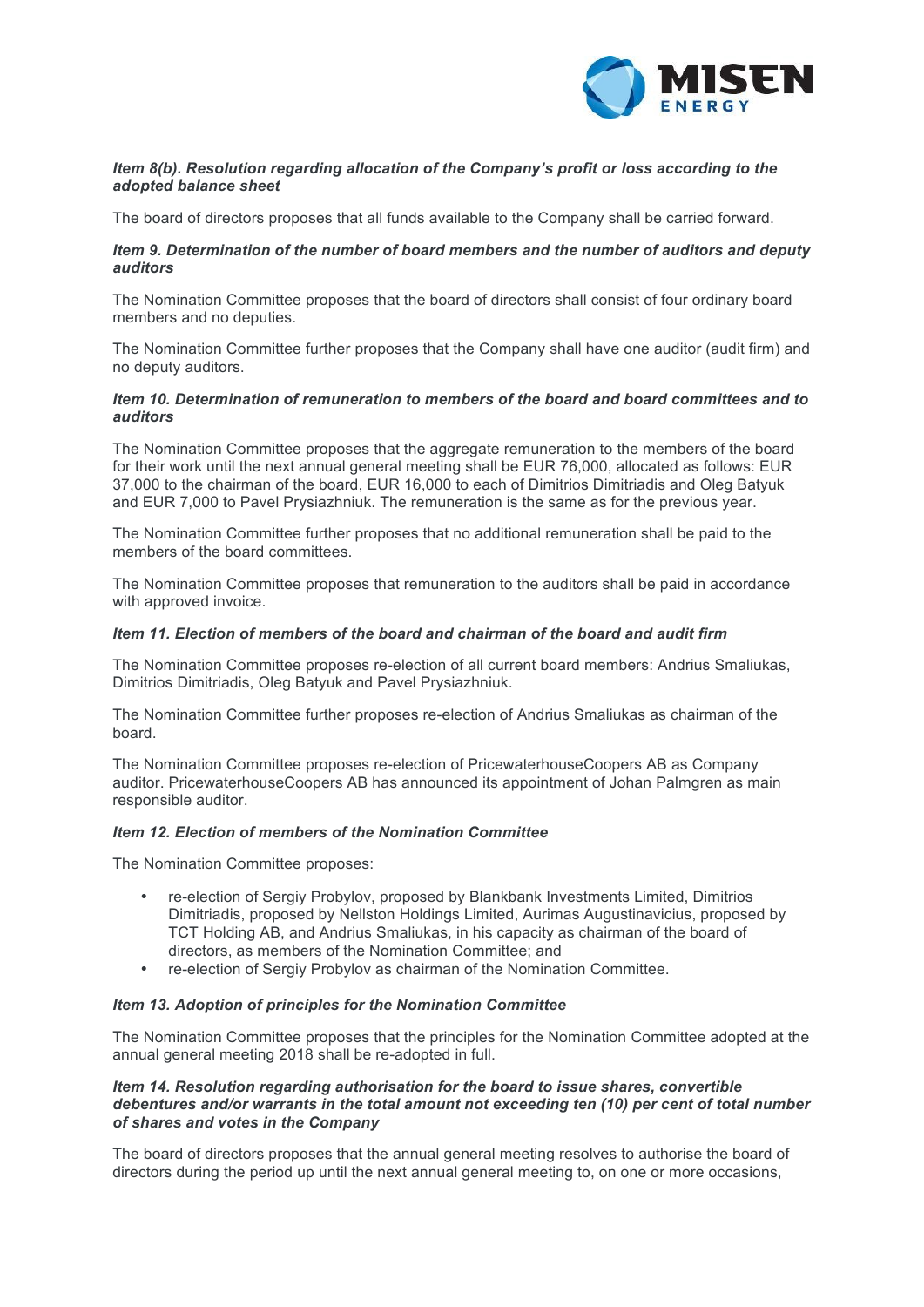

# *Item 8(b). Resolution regarding allocation of the Company's profit or loss according to the adopted balance sheet*

The board of directors proposes that all funds available to the Company shall be carried forward.

# *Item 9. Determination of the number of board members and the number of auditors and deputy auditors*

The Nomination Committee proposes that the board of directors shall consist of four ordinary board members and no deputies.

The Nomination Committee further proposes that the Company shall have one auditor (audit firm) and no deputy auditors.

# *Item 10. Determination of remuneration to members of the board and board committees and to auditors*

The Nomination Committee proposes that the aggregate remuneration to the members of the board for their work until the next annual general meeting shall be EUR 76,000, allocated as follows: EUR 37,000 to the chairman of the board, EUR 16,000 to each of Dimitrios Dimitriadis and Oleg Batyuk and EUR 7,000 to Pavel Prysiazhniuk. The remuneration is the same as for the previous year.

The Nomination Committee further proposes that no additional remuneration shall be paid to the members of the board committees.

The Nomination Committee proposes that remuneration to the auditors shall be paid in accordance with approved invoice.

### *Item 11. Election of members of the board and chairman of the board and audit firm*

The Nomination Committee proposes re-election of all current board members: Andrius Smaliukas, Dimitrios Dimitriadis, Oleg Batyuk and Pavel Prysiazhniuk.

The Nomination Committee further proposes re-election of Andrius Smaliukas as chairman of the board.

The Nomination Committee proposes re-election of PricewaterhouseCoopers AB as Company auditor. PricewaterhouseCoopers AB has announced its appointment of Johan Palmgren as main responsible auditor.

#### *Item 12. Election of members of the Nomination Committee*

The Nomination Committee proposes:

- re-election of Sergiy Probylov, proposed by Blankbank Investments Limited, Dimitrios Dimitriadis, proposed by Nellston Holdings Limited, Aurimas Augustinavicius, proposed by TCT Holding AB, and Andrius Smaliukas, in his capacity as chairman of the board of directors, as members of the Nomination Committee; and
- re-election of Sergiy Probylov as chairman of the Nomination Committee.

### *Item 13. Adoption of principles for the Nomination Committee*

The Nomination Committee proposes that the principles for the Nomination Committee adopted at the annual general meeting 2018 shall be re-adopted in full.

## *Item 14. Resolution regarding authorisation for the board to issue shares, convertible debentures and/or warrants in the total amount not exceeding ten (10) per cent of total number of shares and votes in the Company*

The board of directors proposes that the annual general meeting resolves to authorise the board of directors during the period up until the next annual general meeting to, on one or more occasions,